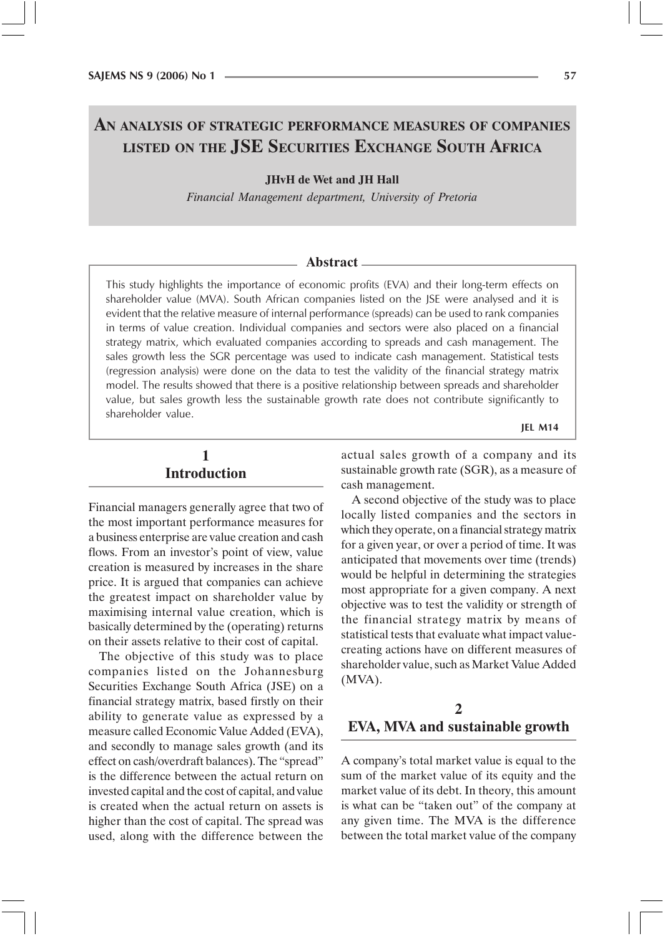# AN ANALYSIS OF STRATEGIC PERFORMANCE MEASURES OF COMPANIES LISTED ON THE JSE SECURITIES EXCHANGE SOUTH AFRICA

**JHvH** de Wet and JH Hall

Financial Management department, University of Pretoria

#### Abstract\_

This study highlights the importance of economic profits (EVA) and their long-term effects on shareholder value (MVA). South African companies listed on the JSE were analysed and it is evident that the relative measure of internal performance (spreads) can be used to rank companies in terms of value creation. Individual companies and sectors were also placed on a financial strategy matrix, which evaluated companies according to spreads and cash management. The sales growth less the SGR percentage was used to indicate cash management. Statistical tests (regression analysis) were done on the data to test the validity of the financial strategy matrix model. The results showed that there is a positive relationship between spreads and shareholder value, but sales growth less the sustainable growth rate does not contribute significantly to shareholder value.

#### **IEL M14**

# $\blacksquare$ **Introduction**

Financial managers generally agree that two of the most important performance measures for a business enterprise are value creation and cash flows. From an investor's point of view, value creation is measured by increases in the share price. It is argued that companies can achieve the greatest impact on shareholder value by maximising internal value creation, which is basically determined by the (operating) returns on their assets relative to their cost of capital.

The objective of this study was to place companies listed on the Johannesburg Securities Exchange South Africa (JSE) on a financial strategy matrix, based firstly on their ability to generate value as expressed by a measure called Economic Value Added (EVA), and secondly to manage sales growth (and its effect on cash/overdraft balances). The "spread" is the difference between the actual return on invested capital and the cost of capital, and value is created when the actual return on assets is higher than the cost of capital. The spread was used, along with the difference between the actual sales growth of a company and its sustainable growth rate (SGR), as a measure of cash management.

A second objective of the study was to place locally listed companies and the sectors in which they operate, on a financial strategy matrix for a given year, or over a period of time. It was anticipated that movements over time (trends) would be helpful in determining the strategies most appropriate for a given company. A next objective was to test the validity or strength of the financial strategy matrix by means of statistical tests that evaluate what impact valuecreating actions have on different measures of shareholder value, such as Market Value Added  $(MVA)$ .

## $\overline{2}$ EVA, MVA and sustainable growth

A company's total market value is equal to the sum of the market value of its equity and the market value of its debt. In theory, this amount is what can be "taken out" of the company at any given time. The MVA is the difference between the total market value of the company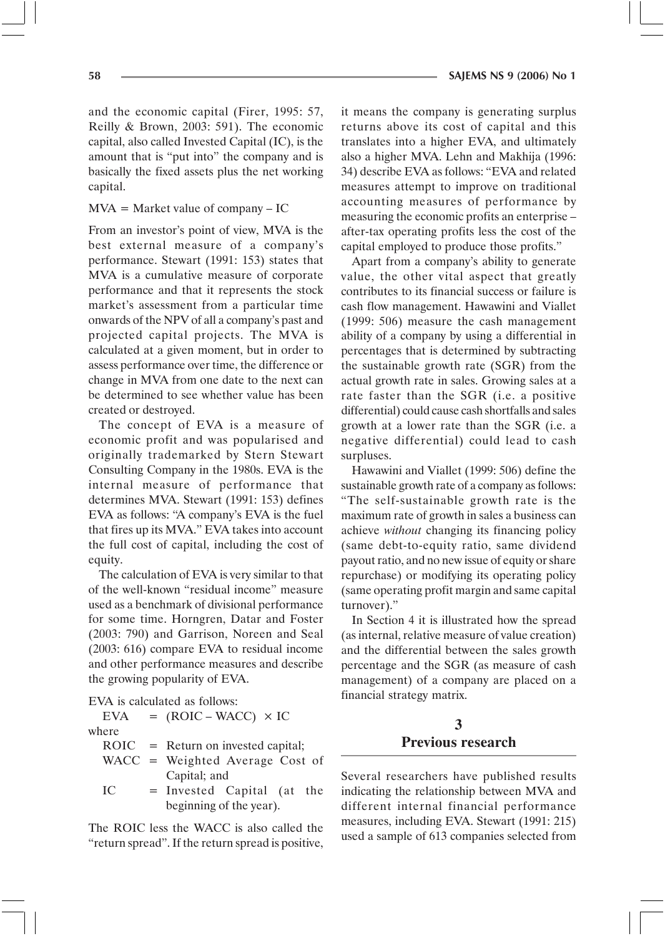and the economic capital (Firer, 1995: 57, Reilly & Brown, 2003: 591). The economic capital, also called Invested Capital (IC), is the amount that is "put into" the company and is basically the fixed assets plus the net working capital.

#### $MVA = Market value of company - IC$

From an investor's point of view, MVA is the best external measure of a company's performance. Stewart (1991: 153) states that MVA is a cumulative measure of corporate performance and that it represents the stock market's assessment from a particular time onwards of the NPV of all a company's past and projected capital projects. The MVA is calculated at a given moment, but in order to assess performance over time, the difference or change in MVA from one date to the next can be determined to see whether value has been created or destroved.

The concept of EVA is a measure of economic profit and was popularised and originally trademarked by Stern Stewart Consulting Company in the 1980s. EVA is the internal measure of performance that determines MVA. Stewart (1991: 153) defines EVA as follows: "A company's EVA is the fuel that fires up its MVA." EVA takes into account the full cost of capital, including the cost of equity.

The calculation of EVA is very similar to that of the well-known "residual income" measure used as a benchmark of divisional performance for some time. Horngren, Datar and Foster (2003: 790) and Garrison, Noreen and Seal (2003: 616) compare EVA to residual income and other performance measures and describe the growing popularity of EVA.

EVA is calculated as follows:

**EVA**  $= (ROIC-WACC) \times IC$ where

**ROIC**  $=$  Return on invested capital;

- WACC = Weighted Average Cost of Capital; and
- $IC$ = Invested Capital (at the beginning of the year).

The ROIC less the WACC is also called the "return spread". If the return spread is positive, it means the company is generating surplus returns above its cost of capital and this translates into a higher EVA, and ultimately also a higher MVA. Lehn and Makhija (1996: 34) describe EVA as follows: "EVA and related measures attempt to improve on traditional accounting measures of performance by measuring the economic profits an enterprise – after-tax operating profits less the cost of the capital employed to produce those profits."

Apart from a company's ability to generate value, the other vital aspect that greatly contributes to its financial success or failure is cash flow management. Hawawini and Viallet (1999: 506) measure the cash management ability of a company by using a differential in percentages that is determined by subtracting the sustainable growth rate (SGR) from the actual growth rate in sales. Growing sales at a rate faster than the SGR (i.e. a positive differential) could cause cash shortfalls and sales growth at a lower rate than the SGR (i.e. a negative differential) could lead to cash surpluses.

Hawawini and Viallet (1999: 506) define the sustainable growth rate of a company as follows: "The self-sustainable growth rate is the maximum rate of growth in sales a business can achieve without changing its financing policy (same debt-to-equity ratio, same dividend payout ratio, and no new issue of equity or share repurchase) or modifying its operating policy (same operating profit margin and same capital turnover)."

In Section 4 it is illustrated how the spread (as internal, relative measure of value creation) and the differential between the sales growth percentage and the SGR (as measure of cash management) of a company are placed on a financial strategy matrix.

## 3 **Previous research**

Several researchers have published results indicating the relationship between MVA and different internal financial performance measures, including EVA. Stewart (1991: 215) used a sample of 613 companies selected from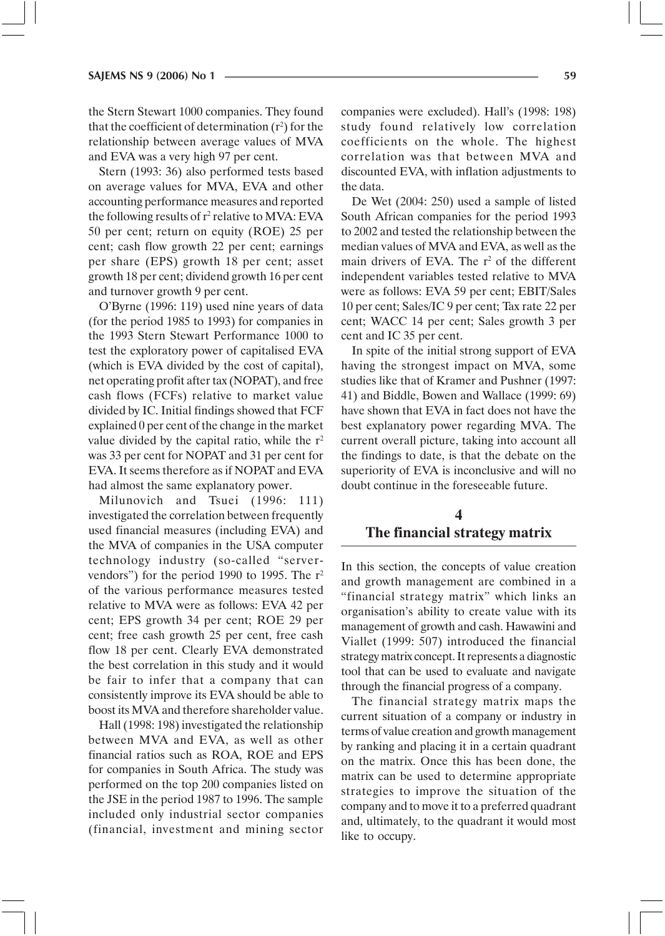the Stern Stewart 1000 companies. They found that the coefficient of determination  $(r^2)$  for the relationship between average values of MVA and EVA was a very high 97 per cent.

Stern (1993: 36) also performed tests based on average values for MVA, EVA and other accounting performance measures and reported the following results of  $r^2$  relative to MVA: EVA 50 per cent; return on equity (ROE) 25 per cent; cash flow growth 22 per cent; earnings per share (EPS) growth 18 per cent; asset growth 18 per cent; dividend growth 16 per cent and turnover growth 9 per cent.

O'Byrne (1996: 119) used nine years of data (for the period 1985 to 1993) for companies in the 1993 Stern Stewart Performance 1000 to test the exploratory power of capitalised EVA (which is EVA divided by the cost of capital), net operating profit after tax (NOPAT), and free cash flows (FCFs) relative to market value divided by IC. Initial findings showed that FCF explained 0 per cent of the change in the market value divided by the capital ratio, while the  $r^2$ was 33 per cent for NOPAT and 31 per cent for EVA. It seems therefore as if NOPAT and EVA had almost the same explanatory power.

Milunovich and Tsuei (1996: 111) investigated the correlation between frequently used financial measures (including EVA) and the MVA of companies in the USA computer technology industry (so-called "servervendors") for the period 1990 to 1995. The  $r^2$ of the various performance measures tested relative to MVA were as follows: EVA 42 per cent; EPS growth 34 per cent; ROE 29 per cent; free cash growth 25 per cent, free cash flow 18 per cent. Clearly EVA demonstrated the best correlation in this study and it would be fair to infer that a company that can consistently improve its EVA should be able to boost its MVA and therefore shareholder value.

Hall (1998: 198) investigated the relationship between MVA and EVA, as well as other financial ratios such as ROA, ROE and EPS for companies in South Africa. The study was performed on the top 200 companies listed on the JSE in the period 1987 to 1996. The sample included only industrial sector companies (financial, investment and mining sector companies were excluded). Hall's (1998: 198) study found relatively low correlation coefficients on the whole. The highest correlation was that between MVA and discounted EVA, with inflation adjustments to the data.

De Wet (2004: 250) used a sample of listed South African companies for the period 1993 to 2002 and tested the relationship between the median values of MVA and EVA, as well as the main drivers of EVA. The  $r^2$  of the different independent variables tested relative to MVA were as follows: EVA 59 per cent; EBIT/Sales 10 per cent; Sales/IC 9 per cent; Tax rate 22 per cent; WACC 14 per cent; Sales growth 3 per cent and IC 35 per cent.

In spite of the initial strong support of EVA having the strongest impact on MVA, some studies like that of Kramer and Pushner (1997: 41) and Biddle, Bowen and Wallace (1999: 69) have shown that EVA in fact does not have the best explanatory power regarding MVA. The current overall picture, taking into account all the findings to date, is that the debate on the superiority of EVA is inconclusive and will no doubt continue in the foreseeable future.

# The financial strategy matrix

In this section, the concepts of value creation and growth management are combined in a "financial strategy matrix" which links an organisation's ability to create value with its management of growth and cash. Hawawini and Viallet (1999: 507) introduced the financial strategy matrix concept. It represents a diagnostic tool that can be used to evaluate and navigate through the financial progress of a company.

The financial strategy matrix maps the current situation of a company or industry in terms of value creation and growth management by ranking and placing it in a certain quadrant on the matrix. Once this has been done, the matrix can be used to determine appropriate strategies to improve the situation of the company and to move it to a preferred quadrant and, ultimately, to the quadrant it would most like to occupy.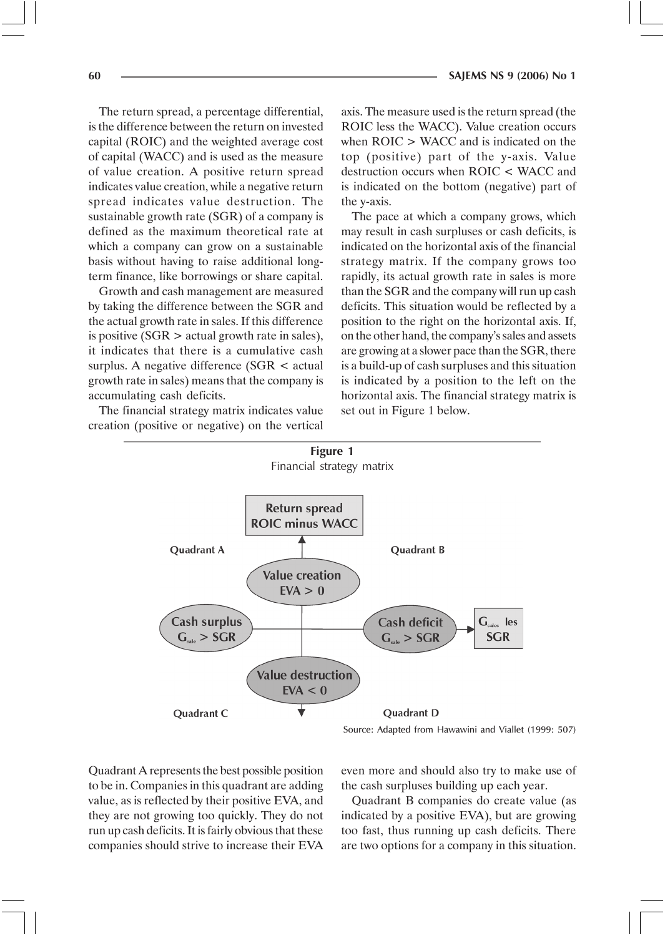The return spread, a percentage differential, is the difference between the return on invested capital (ROIC) and the weighted average cost of capital (WACC) and is used as the measure of value creation. A positive return spread indicates value creation, while a negative return spread indicates value destruction. The sustainable growth rate (SGR) of a company is defined as the maximum theoretical rate at which a company can grow on a sustainable basis without having to raise additional longterm finance, like borrowings or share capital.

Growth and cash management are measured by taking the difference between the SGR and the actual growth rate in sales. If this difference is positive ( $SGR > actual$  growth rate in sales), it indicates that there is a cumulative cash surplus. A negative difference ( $SGR <$  actual growth rate in sales) means that the company is accumulating cash deficits.

The financial strategy matrix indicates value creation (positive or negative) on the vertical

axis. The measure used is the return spread (the ROIC less the WACC). Value creation occurs when  $ROIC > WACC$  and is indicated on the top (positive) part of the y-axis. Value destruction occurs when ROIC < WACC and is indicated on the bottom (negative) part of the y-axis.

The pace at which a company grows, which may result in cash surpluses or cash deficits, is indicated on the horizontal axis of the financial strategy matrix. If the company grows too rapidly, its actual growth rate in sales is more than the SGR and the company will run up cash deficits. This situation would be reflected by a position to the right on the horizontal axis. If, on the other hand, the company's sales and assets are growing at a slower pace than the SGR, there is a build-up of cash surpluses and this situation is indicated by a position to the left on the horizontal axis. The financial strategy matrix is set out in Figure 1 below.



Source: Adapted from Hawawini and Viallet (1999: 507)

Quadrant A represents the best possible position to be in. Companies in this quadrant are adding value, as is reflected by their positive EVA, and they are not growing too quickly. They do not run up cash deficits. It is fairly obvious that these companies should strive to increase their EVA even more and should also try to make use of the cash surpluses building up each year.

Quadrant B companies do create value (as indicated by a positive EVA), but are growing too fast, thus running up cash deficits. There are two options for a company in this situation.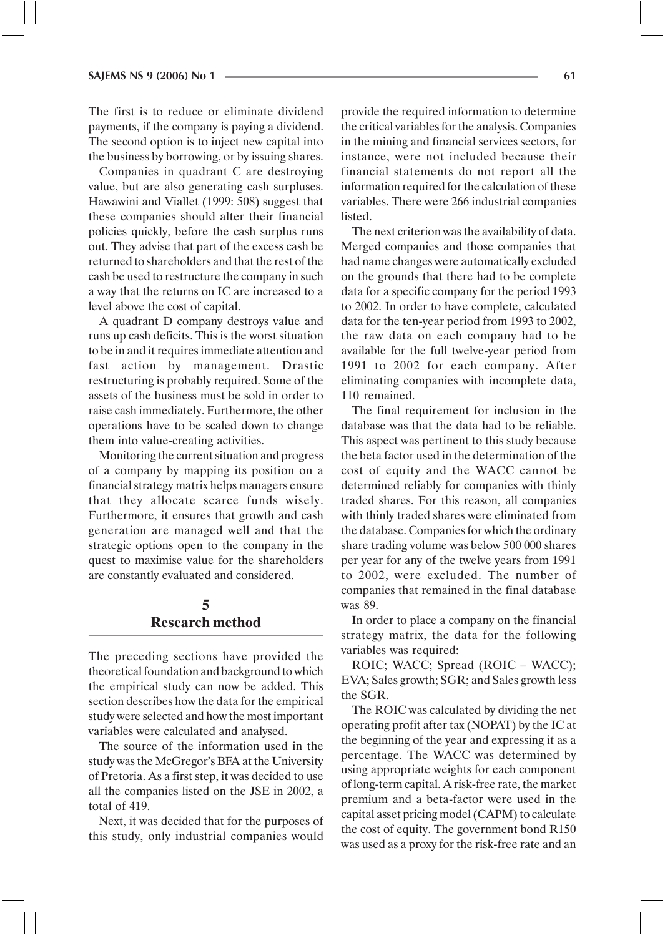The first is to reduce or eliminate dividend payments, if the company is paying a dividend. The second option is to inject new capital into the business by borrowing, or by issuing shares.

Companies in quadrant C are destroying value, but are also generating cash surpluses. Hawawini and Viallet (1999: 508) suggest that these companies should alter their financial policies quickly, before the cash surplus runs out. They advise that part of the excess cash be returned to shareholders and that the rest of the cash be used to restructure the company in such a way that the returns on IC are increased to a level above the cost of capital.

A quadrant D company destroys value and runs up cash deficits. This is the worst situation to be in and it requires immediate attention and fast action by management. Drastic restructuring is probably required. Some of the assets of the business must be sold in order to raise cash immediately. Furthermore, the other operations have to be scaled down to change them into value-creating activities.

Monitoring the current situation and progress of a company by mapping its position on a financial strategy matrix helps managers ensure that they allocate scarce funds wisely. Furthermore, it ensures that growth and cash generation are managed well and that the strategic options open to the company in the quest to maximise value for the shareholders are constantly evaluated and considered.

## 5 **Research method**

The preceding sections have provided the theoretical foundation and background to which the empirical study can now be added. This section describes how the data for the empirical study were selected and how the most important variables were calculated and analysed.

The source of the information used in the study was the McGregor's BFA at the University of Pretoria. As a first step, it was decided to use all the companies listed on the JSE in 2002, a total of 419.

Next, it was decided that for the purposes of this study, only industrial companies would provide the required information to determine the critical variables for the analysis. Companies in the mining and financial services sectors, for instance, were not included because their financial statements do not report all the information required for the calculation of these variables. There were 266 industrial companies listed.

The next criterion was the availability of data. Merged companies and those companies that had name changes were automatically excluded on the grounds that there had to be complete data for a specific company for the period 1993 to 2002. In order to have complete, calculated data for the ten-year period from 1993 to 2002, the raw data on each company had to be available for the full twelve-year period from 1991 to 2002 for each company. After eliminating companies with incomplete data, 110 remained.

The final requirement for inclusion in the database was that the data had to be reliable. This aspect was pertinent to this study because the beta factor used in the determination of the cost of equity and the WACC cannot be determined reliably for companies with thinly traded shares. For this reason, all companies with thinly traded shares were eliminated from the database. Companies for which the ordinary share trading volume was below 500 000 shares per year for any of the twelve years from 1991 to 2002, were excluded. The number of companies that remained in the final database was 89.

In order to place a company on the financial strategy matrix, the data for the following variables was required:

ROIC; WACC; Spread (ROIC – WACC); EVA; Sales growth; SGR; and Sales growth less the SGR.

The ROIC was calculated by dividing the net operating profit after tax (NOPAT) by the IC at the beginning of the year and expressing it as a percentage. The WACC was determined by using appropriate weights for each component of long-term capital. A risk-free rate, the market premium and a beta-factor were used in the capital asset pricing model (CAPM) to calculate the cost of equity. The government bond R150 was used as a proxy for the risk-free rate and an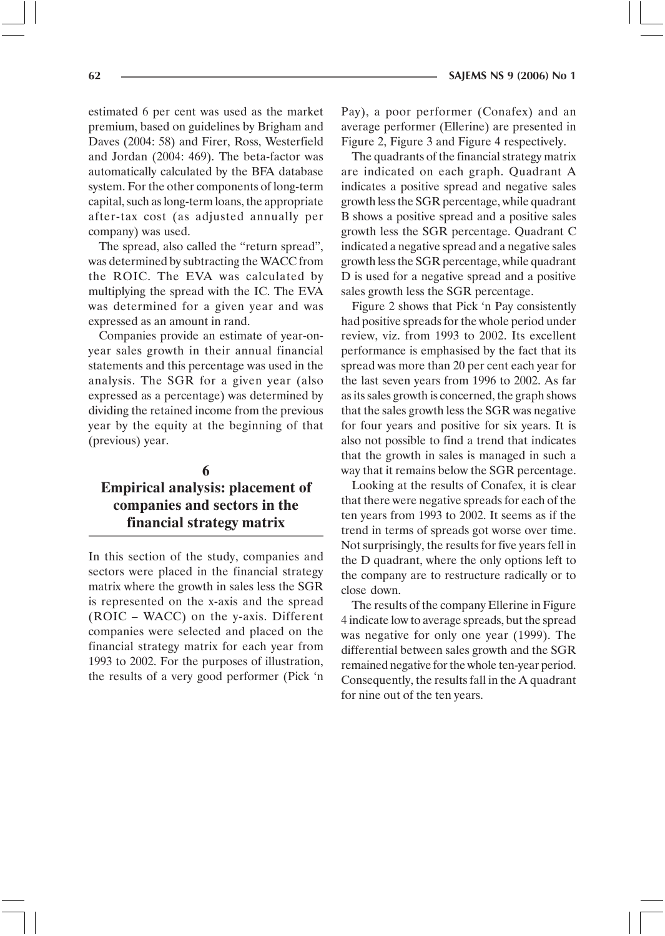estimated 6 per cent was used as the market premium, based on guidelines by Brigham and Daves (2004: 58) and Firer, Ross, Westerfield and Jordan (2004: 469). The beta-factor was automatically calculated by the BFA database system. For the other components of long-term capital, such as long-term loans, the appropriate after-tax cost (as adjusted annually per company) was used.

The spread, also called the "return spread", was determined by subtracting the WACC from the ROIC. The EVA was calculated by multiplying the spread with the IC. The EVA was determined for a given year and was expressed as an amount in rand.

Companies provide an estimate of year-onyear sales growth in their annual financial statements and this percentage was used in the analysis. The SGR for a given year (also expressed as a percentage) was determined by dividing the retained income from the previous year by the equity at the beginning of that (previous) year.

#### 6

# **Empirical analysis: placement of** companies and sectors in the financial strategy matrix

In this section of the study, companies and sectors were placed in the financial strategy matrix where the growth in sales less the SGR is represented on the x-axis and the spread (ROIC – WACC) on the y-axis. Different companies were selected and placed on the financial strategy matrix for each year from 1993 to 2002. For the purposes of illustration, the results of a very good performer (Pick 'n Pay), a poor performer (Conafex) and an average performer (Ellerine) are presented in Figure 2, Figure 3 and Figure 4 respectively.

The quadrants of the financial strategy matrix are indicated on each graph. Quadrant A indicates a positive spread and negative sales growth less the SGR percentage, while quadrant B shows a positive spread and a positive sales growth less the SGR percentage. Quadrant C indicated a negative spread and a negative sales growth less the SGR percentage, while quadrant D is used for a negative spread and a positive sales growth less the SGR percentage.

Figure 2 shows that Pick 'n Pay consistently had positive spreads for the whole period under review, viz. from 1993 to 2002. Its excellent performance is emphasised by the fact that its spread was more than 20 per cent each year for the last seven years from 1996 to 2002. As far as its sales growth is concerned, the graph shows that the sales growth less the SGR was negative for four years and positive for six years. It is also not possible to find a trend that indicates that the growth in sales is managed in such a way that it remains below the SGR percentage.

Looking at the results of Conafex, it is clear that there were negative spreads for each of the ten years from 1993 to 2002. It seems as if the trend in terms of spreads got worse over time. Not surprisingly, the results for five years fell in the D quadrant, where the only options left to the company are to restructure radically or to close down.

The results of the company Ellerine in Figure 4 indicate low to average spreads, but the spread was negative for only one year (1999). The differential between sales growth and the SGR remained negative for the whole ten-year period. Consequently, the results fall in the A quadrant for nine out of the ten years.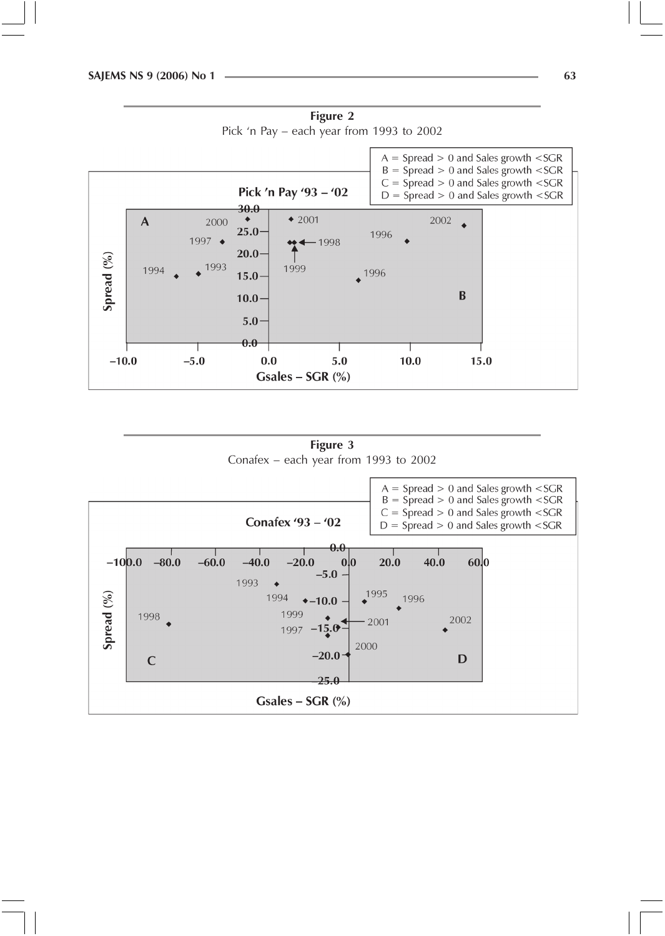

Figure 2 Pick 'n Pay – each year from 1993 to 2002

Figure 3 Conafex - each year from 1993 to 2002



63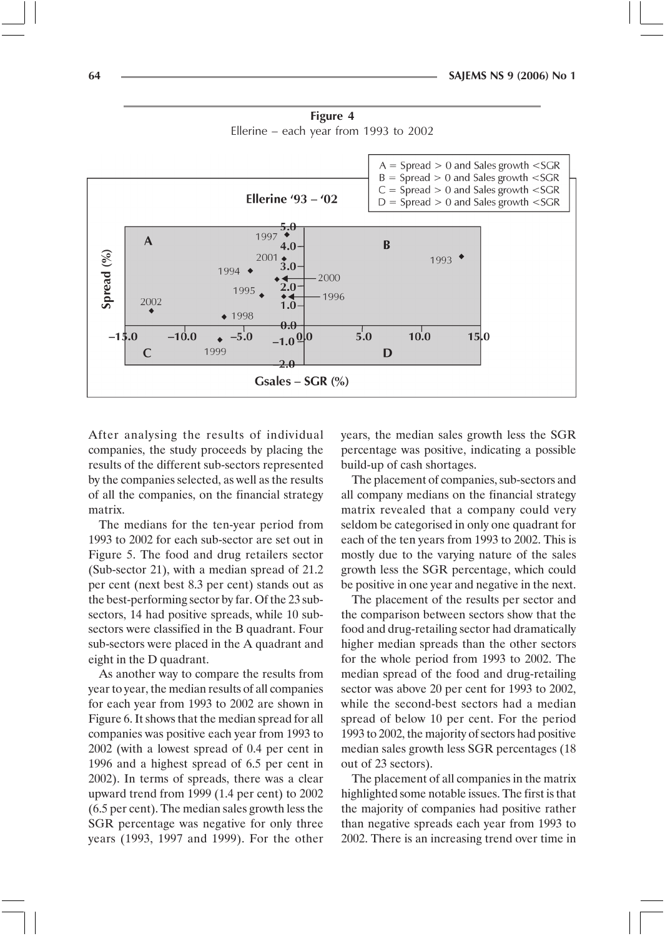

Figure 4 Ellerine – each year from 1993 to  $2002$ 

After analysing the results of individual companies, the study proceeds by placing the results of the different sub-sectors represented by the companies selected, as well as the results of all the companies, on the financial strategy matrix.

The medians for the ten-year period from 1993 to 2002 for each sub-sector are set out in Figure 5. The food and drug retailers sector (Sub-sector 21), with a median spread of 21.2 per cent (next best 8.3 per cent) stands out as the best-performing sector by far. Of the 23 subsectors, 14 had positive spreads, while 10 subsectors were classified in the B quadrant. Four sub-sectors were placed in the A quadrant and eight in the D quadrant.

As another way to compare the results from year to year, the median results of all companies for each year from 1993 to 2002 are shown in Figure 6. It shows that the median spread for all companies was positive each year from 1993 to 2002 (with a lowest spread of 0.4 per cent in 1996 and a highest spread of 6.5 per cent in 2002). In terms of spreads, there was a clear upward trend from 1999 (1.4 per cent) to 2002 (6.5 per cent). The median sales growth less the SGR percentage was negative for only three years (1993, 1997 and 1999). For the other years, the median sales growth less the SGR percentage was positive, indicating a possible build-up of cash shortages.

The placement of companies, sub-sectors and all company medians on the financial strategy matrix revealed that a company could very seldom be categorised in only one quadrant for each of the ten years from 1993 to 2002. This is mostly due to the varying nature of the sales growth less the SGR percentage, which could be positive in one year and negative in the next.

The placement of the results per sector and the comparison between sectors show that the food and drug-retailing sector had dramatically higher median spreads than the other sectors for the whole period from 1993 to 2002. The median spread of the food and drug-retailing sector was above 20 per cent for 1993 to 2002, while the second-best sectors had a median spread of below 10 per cent. For the period 1993 to 2002, the majority of sectors had positive median sales growth less SGR percentages (18 out of 23 sectors).

The placement of all companies in the matrix highlighted some notable issues. The first is that the majority of companies had positive rather than negative spreads each year from 1993 to 2002. There is an increasing trend over time in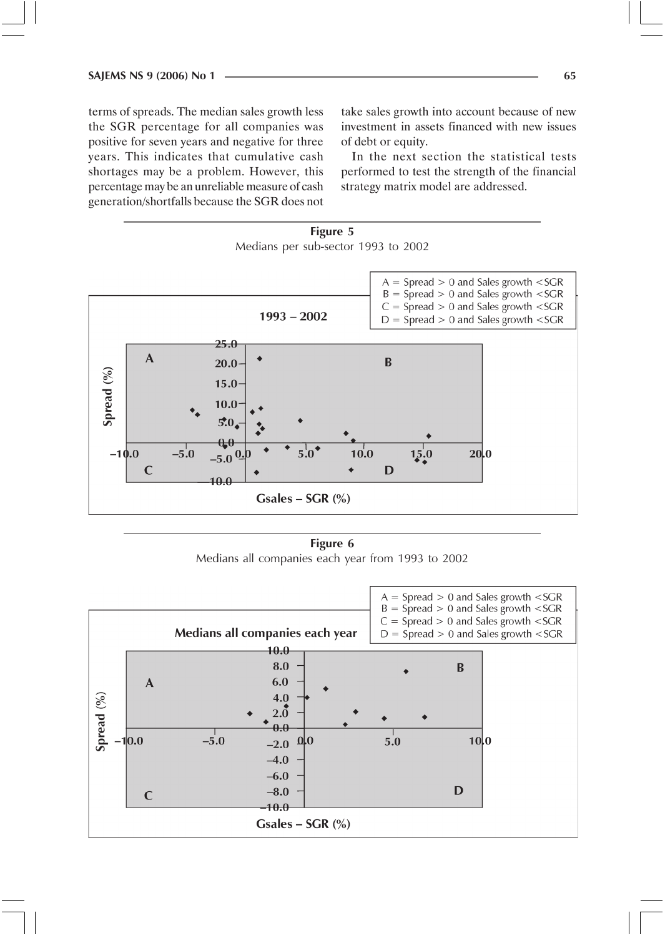terms of spreads. The median sales growth less the SGR percentage for all companies was positive for seven years and negative for three years. This indicates that cumulative cash shortages may be a problem. However, this percentage may be an unreliable measure of cash generation/shortfalls because the SGR does not take sales growth into account because of new investment in assets financed with new issues of debt or equity.

In the next section the statistical tests performed to test the strength of the financial strategy matrix model are addressed.





Figure 6 Medians all companies each year from 1993 to 2002

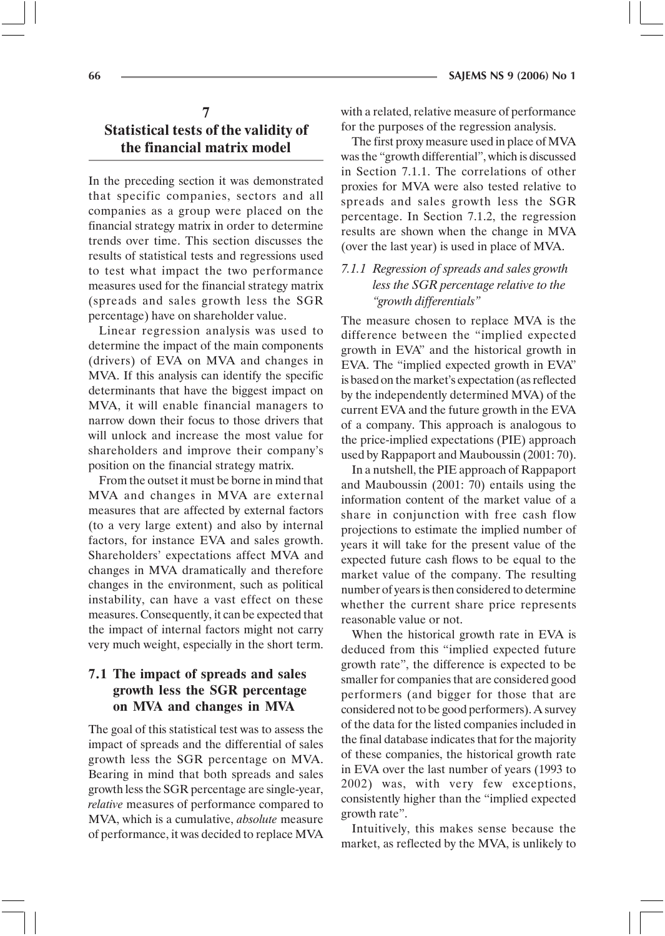# $\overline{7}$ **Statistical tests of the validity of** the financial matrix model

In the preceding section it was demonstrated that specific companies, sectors and all companies as a group were placed on the financial strategy matrix in order to determine trends over time. This section discusses the results of statistical tests and regressions used to test what impact the two performance measures used for the financial strategy matrix (spreads and sales growth less the SGR percentage) have on shareholder value.

Linear regression analysis was used to determine the impact of the main components (drivers) of EVA on MVA and changes in MVA. If this analysis can identify the specific determinants that have the biggest impact on MVA, it will enable financial managers to narrow down their focus to those drivers that will unlock and increase the most value for shareholders and improve their company's position on the financial strategy matrix.

From the outset it must be borne in mind that MVA and changes in MVA are external measures that are affected by external factors (to a very large extent) and also by internal factors, for instance EVA and sales growth. Shareholders' expectations affect MVA and changes in MVA dramatically and therefore changes in the environment, such as political instability, can have a vast effect on these measures. Consequently, it can be expected that the impact of internal factors might not carry very much weight, especially in the short term.

## 7.1 The impact of spreads and sales growth less the SGR percentage on MVA and changes in MVA

The goal of this statistical test was to assess the impact of spreads and the differential of sales growth less the SGR percentage on MVA. Bearing in mind that both spreads and sales growth less the SGR percentage are single-year. *relative* measures of performance compared to MVA, which is a cumulative, *absolute* measure of performance, it was decided to replace MVA with a related, relative measure of performance for the purposes of the regression analysis.

The first proxy measure used in place of MVA was the "growth differential", which is discussed in Section 7.1.1. The correlations of other proxies for MVA were also tested relative to spreads and sales growth less the SGR percentage. In Section 7.1.2, the regression results are shown when the change in MVA (over the last year) is used in place of MVA.

## 7.1.1 Regression of spreads and sales growth less the SGR percentage relative to the "growth differentials"

The measure chosen to replace MVA is the difference between the "implied expected growth in EVA" and the historical growth in EVA. The "implied expected growth in EVA" is based on the market's expectation (as reflected by the independently determined MVA) of the current EVA and the future growth in the EVA of a company. This approach is analogous to the price-implied expectations (PIE) approach used by Rappaport and Mauboussin (2001: 70).

In a nutshell, the PIE approach of Rappaport and Mauboussin (2001: 70) entails using the information content of the market value of a share in conjunction with free cash flow projections to estimate the implied number of years it will take for the present value of the expected future cash flows to be equal to the market value of the company. The resulting number of years is then considered to determine whether the current share price represents reasonable value or not.

When the historical growth rate in EVA is deduced from this "implied expected future growth rate", the difference is expected to be smaller for companies that are considered good performers (and bigger for those that are considered not to be good performers). A survey of the data for the listed companies included in the final database indicates that for the majority of these companies, the historical growth rate in EVA over the last number of years (1993 to 2002) was, with very few exceptions, consistently higher than the "implied expected growth rate".

Intuitively, this makes sense because the market, as reflected by the MVA, is unlikely to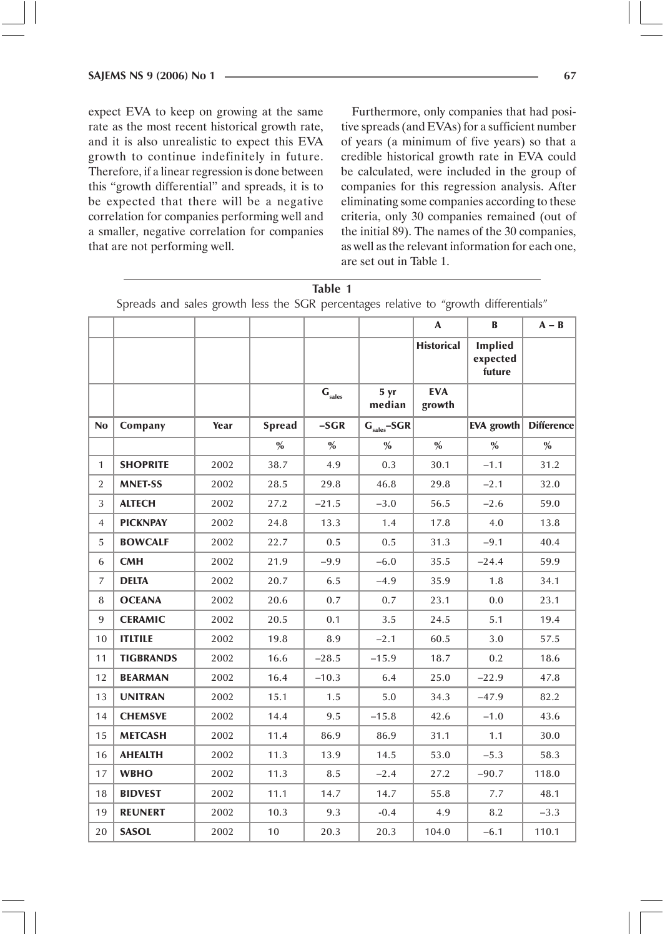expect EVA to keep on growing at the same rate as the most recent historical growth rate, and it is also unrealistic to expect this EVA growth to continue indefinitely in future. Therefore, if a linear regression is done between this "growth differential" and spreads, it is to be expected that there will be a negative correlation for companies performing well and a smaller, negative correlation for companies that are not performing well.

Furthermore, only companies that had positive spreads (and EVAs) for a sufficient number of years (a minimum of five years) so that a credible historical growth rate in EVA could be calculated, were included in the group of companies for this regression analysis. After eliminating some companies according to these criteria, only 30 companies remained (out of the initial 89). The names of the 30 companies, as well as the relevant information for each one, are set out in Table 1.

|                |                  |      |               |                             |                | A<br><b>Historical</b> | B<br><b>Implied</b><br>expected<br>future | $A - B$           |
|----------------|------------------|------|---------------|-----------------------------|----------------|------------------------|-------------------------------------------|-------------------|
|                |                  |      |               |                             |                |                        |                                           |                   |
|                |                  |      |               | $\mathbf{G}_{\text{sales}}$ | 5 yr<br>median | <b>EVA</b><br>growth   |                                           |                   |
| <b>No</b>      | Company          | Year | <b>Spread</b> | $-SGR$                      | $Gsales - SGR$ |                        | EVA growth                                | <b>Difference</b> |
|                |                  |      | $\frac{0}{0}$ | $\frac{0}{0}$               | $\frac{0}{0}$  | $\%$                   | $\frac{0}{0}$                             | $\frac{0}{0}$     |
| $\mathbf{1}$   | <b>SHOPRITE</b>  | 2002 | 38.7          | 4.9                         | 0.3            | 30.1                   | $-1.1$                                    | 31.2              |
| $\overline{2}$ | <b>MNET-SS</b>   | 2002 | 28.5          | 29.8                        | 46.8           | 29.8                   | $-2.1$                                    | 32.0              |
| 3              | <b>ALTECH</b>    | 2002 | 27.2          | $-21.5$                     | $-3.0$         | 56.5                   | $-2.6$                                    | 59.0              |
| $\overline{4}$ | <b>PICKNPAY</b>  | 2002 | 24.8          | 13.3                        | 1.4            | 17.8                   | 4.0                                       | 13.8              |
| 5              | <b>BOWCALF</b>   | 2002 | 22.7          | 0.5                         | 0.5            | 31.3                   | $-9.1$                                    | 40.4              |
| 6              | <b>CMH</b>       | 2002 | 21.9          | $-9.9$                      | $-6.0$         | 35.5                   | $-24.4$                                   | 59.9              |
| 7              | <b>DELTA</b>     | 2002 | 20.7          | 6.5                         | $-4.9$         | 35.9                   | 1.8                                       | 34.1              |
| 8              | <b>OCEANA</b>    | 2002 | 20.6          | 0.7                         | 0.7            | 23.1                   | 0.0                                       | 23.1              |
| 9              | <b>CERAMIC</b>   | 2002 | 20.5          | 0.1                         | 3.5            | 24.5                   | 5.1                                       | 19.4              |
| 10             | <b>ITLTILE</b>   | 2002 | 19.8          | 8.9                         | $-2.1$         | 60.5                   | 3.0                                       | 57.5              |
| 11             | <b>TIGBRANDS</b> | 2002 | 16.6          | $-28.5$                     | $-15.9$        | 18.7                   | 0.2                                       | 18.6              |
| 12             | <b>BEARMAN</b>   | 2002 | 16.4          | $-10.3$                     | 6.4            | 25.0                   | $-22.9$                                   | 47.8              |
| 13             | <b>UNITRAN</b>   | 2002 | 15.1          | 1.5                         | 5.0            | 34.3                   | $-47.9$                                   | 82.2              |
| 14             | <b>CHEMSVE</b>   | 2002 | 14.4          | 9.5                         | $-15.8$        | 42.6                   | $-1.0$                                    | 43.6              |
| 15             | <b>METCASH</b>   | 2002 | 11.4          | 86.9                        | 86.9           | 31.1                   | 1.1                                       | 30.0              |
| 16             | <b>AHEALTH</b>   | 2002 | 11.3          | 13.9                        | 14.5           | 53.0                   | $-5.3$                                    | 58.3              |
| 17             | <b>WBHO</b>      | 2002 | 11.3          | 8.5                         | $-2.4$         | 27.2                   | $-90.7$                                   | 118.0             |
| 18             | <b>BIDVEST</b>   | 2002 | 11.1          | 14.7                        | 14.7           | 55.8                   | 7.7                                       | 48.1              |
| 19             | <b>REUNERT</b>   | 2002 | 10.3          | 9.3                         | $-0.4$         | 4.9                    | 8.2                                       | $-3.3$            |
| 20             | <b>SASOL</b>     | 2002 | 10            | 20.3                        | 20.3           | 104.0                  | $-6.1$                                    | 110.1             |

Table 1 Spreads and sales growth less the SGR percentages relative to "growth differentials"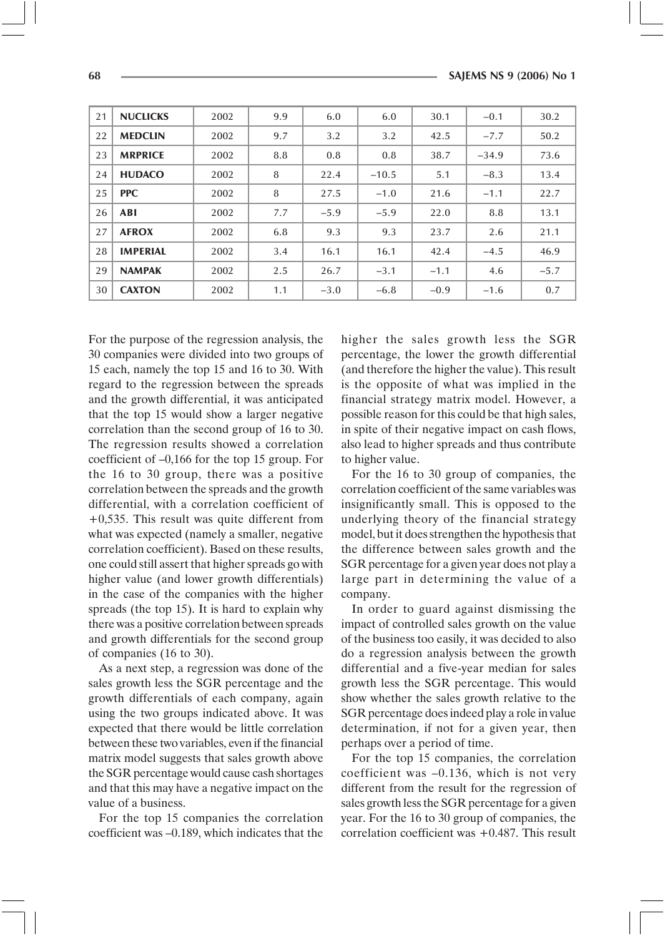| 21 | <b>NUCLICKS</b> | 2002 | 9.9 | 6.0    | 6.0     | 30.1   | $-0.1$  | 30.2   |
|----|-----------------|------|-----|--------|---------|--------|---------|--------|
| 22 | <b>MEDCLIN</b>  | 2002 | 9.7 | 3.2    | 3.2     | 42.5   | $-7.7$  | 50.2   |
| 23 | <b>MRPRICE</b>  | 2002 | 8.8 | 0.8    | 0.8     | 38.7   | $-34.9$ | 73.6   |
| 24 | <b>HUDACO</b>   | 2002 | 8   | 22.4   | $-10.5$ | 5.1    | $-8.3$  | 13.4   |
| 25 | <b>PPC</b>      | 2002 | 8   | 27.5   | $-1.0$  | 21.6   | $-1.1$  | 22.7   |
| 26 | <b>ABI</b>      | 2002 | 7.7 | $-5.9$ | $-5.9$  | 22.0   | 8.8     | 13.1   |
| 27 | <b>AFROX</b>    | 2002 | 6.8 | 9.3    | 9.3     | 23.7   | 2.6     | 21.1   |
| 28 | <b>IMPERIAL</b> | 2002 | 3.4 | 16.1   | 16.1    | 42.4   | $-4.5$  | 46.9   |
| 29 | <b>NAMPAK</b>   | 2002 | 2.5 | 26.7   | $-3.1$  | $-1.1$ | 4.6     | $-5.7$ |
| 30 | <b>CAXTON</b>   | 2002 | 1.1 | $-3.0$ | $-6.8$  | $-0.9$ | $-1.6$  | 0.7    |

For the purpose of the regression analysis, the 30 companies were divided into two groups of 15 each, namely the top 15 and 16 to 30. With regard to the regression between the spreads and the growth differential, it was anticipated that the top 15 would show a larger negative correlation than the second group of 16 to 30. The regression results showed a correlation coefficient of  $-0,166$  for the top 15 group. For the 16 to 30 group, there was a positive correlation between the spreads and the growth differential, with a correlation coefficient of  $+0,535$ . This result was quite different from what was expected (namely a smaller, negative correlation coefficient). Based on these results, one could still assert that higher spreads go with higher value (and lower growth differentials) in the case of the companies with the higher spreads (the top 15). It is hard to explain why there was a positive correlation between spreads and growth differentials for the second group of companies (16 to 30).

As a next step, a regression was done of the sales growth less the SGR percentage and the growth differentials of each company, again using the two groups indicated above. It was expected that there would be little correlation between these two variables, even if the financial matrix model suggests that sales growth above the SGR percentage would cause cash shortages and that this may have a negative impact on the value of a business.

For the top 15 companies the correlation coefficient was -0.189, which indicates that the

higher the sales growth less the SGR percentage, the lower the growth differential (and therefore the higher the value). This result is the opposite of what was implied in the financial strategy matrix model. However, a possible reason for this could be that high sales, in spite of their negative impact on cash flows, also lead to higher spreads and thus contribute to higher value.

For the 16 to 30 group of companies, the correlation coefficient of the same variables was insignificantly small. This is opposed to the underlying theory of the financial strategy model, but it does strengthen the hypothesis that the difference between sales growth and the SGR percentage for a given year does not play a large part in determining the value of a company.

In order to guard against dismissing the impact of controlled sales growth on the value of the business too easily, it was decided to also do a regression analysis between the growth differential and a five-year median for sales growth less the SGR percentage. This would show whether the sales growth relative to the SGR percentage does indeed play a role in value determination, if not for a given year, then perhaps over a period of time.

For the top 15 companies, the correlation coefficient was  $-0.136$ , which is not very different from the result for the regression of sales growth less the SGR percentage for a given year. For the 16 to 30 group of companies, the correlation coefficient was  $+0.487$ . This result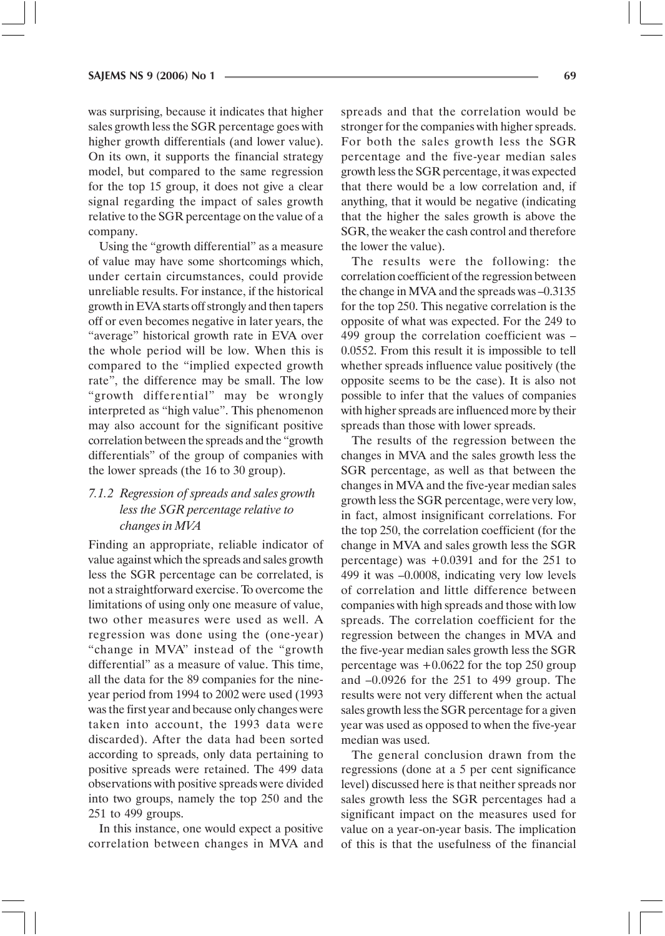was surprising, because it indicates that higher sales growth less the SGR percentage goes with higher growth differentials (and lower value). On its own, it supports the financial strategy model, but compared to the same regression for the top 15 group, it does not give a clear signal regarding the impact of sales growth relative to the SGR percentage on the value of a company.

Using the "growth differential" as a measure of value may have some shortcomings which, under certain circumstances, could provide unreliable results. For instance, if the historical growth in EVA starts off strongly and then tapers off or even becomes negative in later years, the "average" historical growth rate in EVA over the whole period will be low. When this is compared to the "implied expected growth rate", the difference may be small. The low "growth differential" may be wrongly interpreted as "high value". This phenomenon may also account for the significant positive correlation between the spreads and the "growth differentials" of the group of companies with the lower spreads (the 16 to 30 group).

## 7.1.2 Regression of spreads and sales growth less the SGR percentage relative to changes in MVA

Finding an appropriate, reliable indicator of value against which the spreads and sales growth less the SGR percentage can be correlated, is not a straightforward exercise. To overcome the limitations of using only one measure of value, two other measures were used as well. A regression was done using the (one-year) "change in MVA" instead of the "growth differential" as a measure of value. This time, all the data for the 89 companies for the nineyear period from 1994 to 2002 were used (1993) was the first year and because only changes were taken into account, the 1993 data were discarded). After the data had been sorted according to spreads, only data pertaining to positive spreads were retained. The 499 data observations with positive spreads were divided into two groups, namely the top 250 and the 251 to 499 groups.

In this instance, one would expect a positive correlation between changes in MVA and spreads and that the correlation would be stronger for the companies with higher spreads. For both the sales growth less the SGR percentage and the five-year median sales growth less the SGR percentage, it was expected that there would be a low correlation and, if anything, that it would be negative (indicating that the higher the sales growth is above the SGR, the weaker the cash control and therefore the lower the value).

The results were the following: the correlation coefficient of the regression between the change in MVA and the spreads was -0.3135 for the top 250. This negative correlation is the opposite of what was expected. For the 249 to 499 group the correlation coefficient was – 0.0552. From this result it is impossible to tell whether spreads influence value positively (the opposite seems to be the case). It is also not possible to infer that the values of companies with higher spreads are influenced more by their spreads than those with lower spreads.

The results of the regression between the changes in MVA and the sales growth less the SGR percentage, as well as that between the changes in MVA and the five-year median sales growth less the SGR percentage, were very low, in fact, almost insignificant correlations. For the top 250, the correlation coefficient (for the change in MVA and sales growth less the SGR percentage) was  $+0.0391$  and for the 251 to 499 it was -0.0008, indicating very low levels of correlation and little difference between companies with high spreads and those with low spreads. The correlation coefficient for the regression between the changes in MVA and the five-year median sales growth less the SGR percentage was  $+0.0622$  for the top 250 group and  $-0.0926$  for the 251 to 499 group. The results were not very different when the actual sales growth less the SGR percentage for a given year was used as opposed to when the five-year median was used.

The general conclusion drawn from the regressions (done at a 5 per cent significance) level) discussed here is that neither spreads nor sales growth less the SGR percentages had a significant impact on the measures used for value on a year-on-year basis. The implication of this is that the usefulness of the financial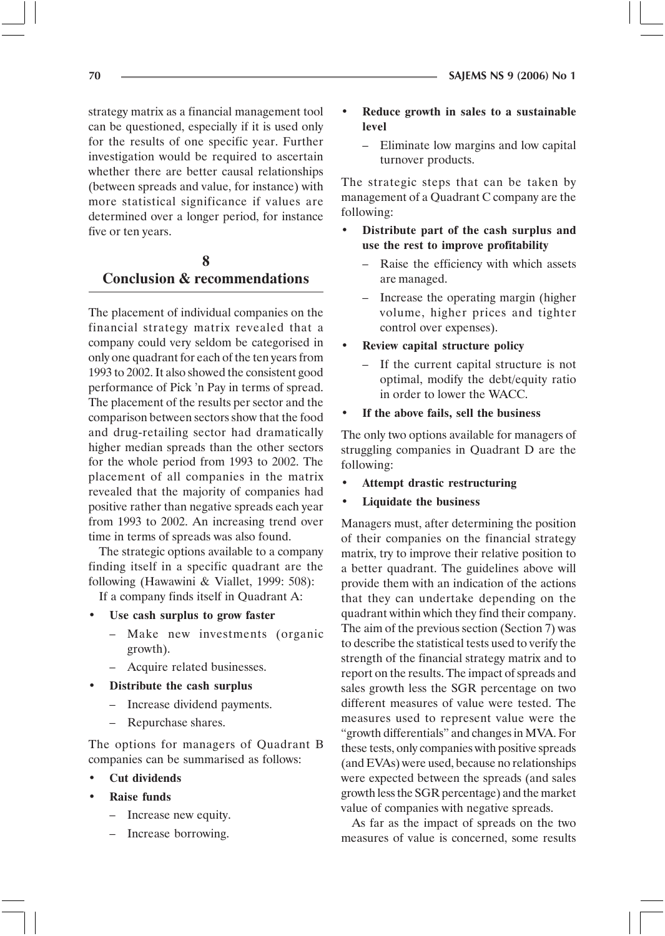strategy matrix as a financial management tool can be questioned, especially if it is used only for the results of one specific year. Further investigation would be required to ascertain whether there are better causal relationships (between spreads and value, for instance) with more statistical significance if values are determined over a longer period, for instance five or ten years.

### 8

## **Conclusion & recommendations**

The placement of individual companies on the financial strategy matrix revealed that a company could very seldom be categorised in only one quadrant for each of the ten years from 1993 to 2002. It also showed the consistent good performance of Pick 'n Pay in terms of spread. The placement of the results per sector and the comparison between sectors show that the food and drug-retailing sector had dramatically higher median spreads than the other sectors for the whole period from 1993 to 2002. The placement of all companies in the matrix revealed that the majority of companies had positive rather than negative spreads each year from 1993 to 2002. An increasing trend over time in terms of spreads was also found.

The strategic options available to a company finding itself in a specific quadrant are the following (Hawawini & Viallet, 1999: 508):

If a company finds itself in Quadrant A:

- Use cash surplus to grow faster
	- Make new investments (organic growth).
	- Acquire related businesses.
- Distribute the cash surplus
	- Increase dividend payments.
	- Repurchase shares.

The options for managers of Quadrant B companies can be summarised as follows:

- Cut dividends
- **Raise funds** 
	- Increase new equity.
	- Increase borrowing.
- Reduce growth in sales to a sustainable level
	- Eliminate low margins and low capital turnover products.

The strategic steps that can be taken by management of a Quadrant C company are the following:

- Distribute part of the cash surplus and use the rest to improve profitability
	- Raise the efficiency with which assets are managed.
	- Increase the operating margin (higher volume, higher prices and tighter control over expenses).
- Review capital structure policy
	- If the current capital structure is not optimal, modify the debt/equity ratio in order to lower the WACC.
- If the above fails, sell the business

The only two options available for managers of struggling companies in Quadrant D are the following:

- **Attempt drastic restructuring**
- **Liquidate the business**

Managers must, after determining the position of their companies on the financial strategy matrix, try to improve their relative position to a better quadrant. The guidelines above will provide them with an indication of the actions that they can undertake depending on the quadrant within which they find their company. The aim of the previous section (Section 7) was to describe the statistical tests used to verify the strength of the financial strategy matrix and to report on the results. The impact of spreads and sales growth less the SGR percentage on two different measures of value were tested. The measures used to represent value were the "growth differentials" and changes in MVA. For these tests, only companies with positive spreads (and EVAs) were used, because no relationships were expected between the spreads (and sales growth less the SGR percentage) and the market value of companies with negative spreads.

As far as the impact of spreads on the two measures of value is concerned, some results